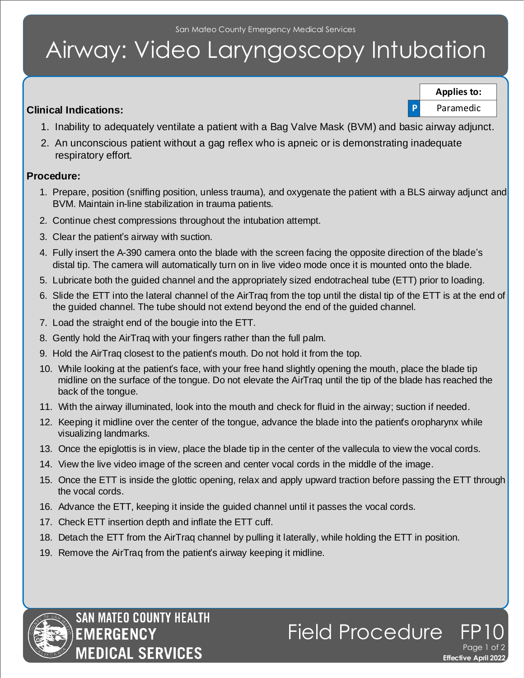## Airway: Video Laryngoscopy Intubation

## **Clinical Indications:**

**Applies to:**

**P** Paramedic

**Effective April 2022** 

Page 1 of 2

Field Procedure

- 1. Inability to adequately ventilate a patient with a Bag Valve Mask (BVM) and basic airway adjunct.
- 2. An unconscious patient without a gag reflex who is apneic or is demonstrating inadequate respiratory effort.

## **Procedure:**

- 1. Prepare, position (sniffing position, unless trauma), and oxygenate the patient with a BLS airway adjunct and BVM. Maintain in-line stabilization in trauma patients.
- 2. Continue chest compressions throughout the intubation attempt.
- 3. Clear the patient's airway with suction.
- 4. Fully insert the A-390 camera onto the blade with the screen facing the opposite direction of the blade's distal tip. The camera will automatically turn on in live video mode once it is mounted onto the blade.
- 5. Lubricate both the guided channel and the appropriately sized endotracheal tube (ETT) prior to loading.
- 6. Slide the ETT into the lateral channel of the AirTraq from the top until the distal tip of the ETT is at the end of the guided channel. The tube should not extend beyond the end of the guided channel.
- 7. Load the straight end of the bougie into the ETT.
- 8. Gently hold the AirTraq with your fingers rather than the full palm.
- 9. Hold the AirTraq closest to the patient's mouth. Do not hold it from the top.
- 10. While looking at the patient's face, with your free hand slightly opening the mouth, place the blade tip midline on the surface of the tongue. Do not elevate the AirTraq until the tip of the blade has reached the back of the tongue.
- 11. With the airway illuminated, look into the mouth and check for fluid in the airway; suction if needed.
- 12. Keeping it midline over the center of the tongue, advance the blade into the patient's oropharynx while visualizing landmarks.
- 13. Once the epiglottis is in view, place the blade tip in the center of the vallecula to view the vocal cords.
- 14. View the live video image of the screen and center vocal cords in the middle of the image.
- 15. Once the ETT is inside the glottic opening, relax and apply upward traction before passing the ETT through the vocal cords.
- 16. Advance the ETT, keeping it inside the guided channel until it passes the vocal cords.
- 17. Check ETT insertion depth and inflate the ETT cuff.
- 18. Detach the ETT from the AirTraq channel by pulling it laterally, while holding the ETT in position.
- 19. Remove the AirTrag from the patient's airway keeping it midline.



SAN MATEO COUNTY HEALTH **EMERGEN MEDICAL SERVICES**